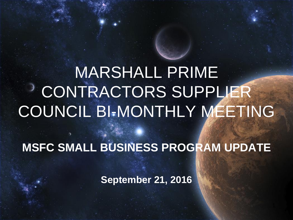MARSHALL PRIME CONTRACTORS SUPPLIER COUNCIL BI-MONTHLY MEETING

**MSFC SMALL BUSINESS PROGRAM UPDATE**

**September 21, 2016**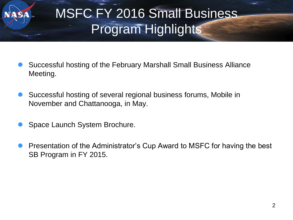# MSFC FY 2016 Small Business Program Highlights

- Successful hosting of the February Marshall Small Business Alliance Meeting.
- Successful hosting of several regional business forums, Mobile in November and Chattanooga, in May.
- Space Launch System Brochure.
- Presentation of the Administrator's Cup Award to MSFC for having the best SB Program in FY 2015.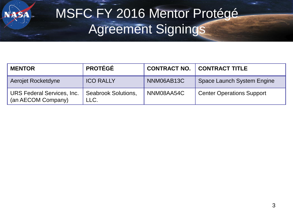SA

## MSFC FY 2016 Mentor Protégé Agreement Signings

| <b>MENTOR</b>                                           | <b>PROTÉGÉ</b>                     |            | <b>CONTRACT NO.   CONTRACT TITLE</b> |
|---------------------------------------------------------|------------------------------------|------------|--------------------------------------|
| Aerojet Rocketdyne                                      | <b>ICO RALLY</b>                   | NNM06AB13C | Space Launch System Engine           |
| <b>URS Federal Services, Inc.</b><br>(an AECOM Company) | <b>Seabrook Solutions,</b><br>LLC. | NNM08AA54C | <b>Center Operations Support</b>     |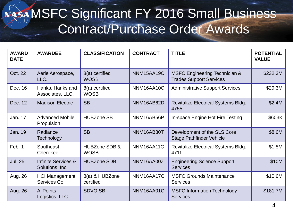#### NASA MSFC Significant FY 2016 Small Business Contract/Purchase Order Awards

| <b>AWARD</b><br><b>DATE</b> | <b>AWARDEE</b>                                    | <b>CLASSIFICATION</b>                   | <b>CONTRACT</b> | <b>TITLE</b>                                                               | <b>POTENTIAL</b><br><b>VALUE</b> |
|-----------------------------|---------------------------------------------------|-----------------------------------------|-----------------|----------------------------------------------------------------------------|----------------------------------|
| Oct. 22                     | Aerie Aerospace,<br>LLC.                          | 8(a) certified<br><b>WOSB</b>           | NNM15AA19C      | <b>MSFC Engineering Technician &amp;</b><br><b>Trades Support Services</b> | \$232.3M                         |
| Dec. 16                     | Hanks, Hanks and<br>Associates, LLC.              | 8(a) certified<br><b>WOSB</b>           | NNM16AA10C      | <b>Administrative Support Services</b>                                     | \$29.3M                          |
| Dec. 12                     | <b>Madison Electric</b>                           | <b>SB</b>                               | NNM16AB62D      | <b>Revitalize Electrical Systems Bldg.</b><br>4755                         | \$2.4M                           |
| Jan. 17                     | <b>Advanced Mobile</b><br>Propulsion              | <b>HUBZone SB</b>                       | NNM16AB56P      | In-space Engine Hot Fire Testing                                           | \$603K                           |
| Jan. 19                     | Radiance<br>Technology                            | <b>SB</b>                               | NNM16AB80T      | Development of the SLS Core<br><b>Stage Pathfinder Vehicle</b>             | \$8.6M                           |
| Feb. 1                      | Southeast<br>Cherokee                             | <b>HUBZone SDB &amp;</b><br><b>WOSB</b> | NNM16AA11C      | <b>Revitalize Electrical Systems Bldg.</b><br>4711                         | \$1.8M                           |
| <b>Jul. 25</b>              | <b>Infinite Services &amp;</b><br>Solutions, Inc. | <b>HUBZone SDB</b>                      | NNM16AA00Z      | <b>Engineering Science Support</b><br><b>Services</b>                      | \$10M                            |
| Aug. 26                     | <b>HCI Management</b><br>Services Co.             | 8(a) & HUBZone<br>certified             | NNM16AA17C      | <b>MSFC Grounds Maintenance</b><br><b>Services</b>                         | \$10.6M                          |
| Aug. 26                     | <b>AllPoints</b><br>Logistics, LLC.               | <b>SDVO SB</b>                          | NNM16AA01C      | <b>MSFC Information Technology</b><br><b>Services</b>                      | \$181.7M                         |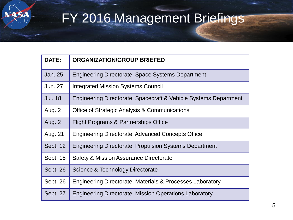SYA

# FY 2016 Management Briefings

| DATE:          | <b>ORGANIZATION/GROUP BRIEFED</b>                                |
|----------------|------------------------------------------------------------------|
| <b>Jan. 25</b> | Engineering Directorate, Space Systems Department                |
| Jun. 27        | <b>Integrated Mission Systems Council</b>                        |
| <b>Jul. 18</b> | Engineering Directorate, Spacecraft & Vehicle Systems Department |
| Aug. 2         | Office of Strategic Analysis & Communications                    |
| Aug. 2         | Flight Programs & Partnerships Office                            |
| Aug. 21        | Engineering Directorate, Advanced Concepts Office                |
| Sept. 12       | <b>Engineering Directorate, Propulsion Systems Department</b>    |
| Sept. 15       | Safety & Mission Assurance Directorate                           |
| Sept. 26       | Science & Technology Directorate                                 |
| Sept. 26       | Engineering Directorate, Materials & Processes Laboratory        |
| Sept. 27       | <b>Engineering Directorate, Mission Operations Laboratory</b>    |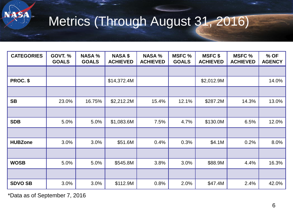

# Metrics (Through August 31, 2016)

| <b>CATEGORIES</b> | <b>GOVT. %</b><br><b>GOALS</b> | <b>NASA %</b><br><b>GOALS</b> | <b>NASA \$</b><br><b>ACHIEVED</b> | <b>NASA %</b><br><b>ACHIEVED</b> | <b>MSFC %</b><br><b>GOALS</b> | <b>MSFC \$</b><br><b>ACHIEVED</b> | <b>MSFC %</b><br><b>ACHIEVED</b> | % OF<br><b>AGENCY</b> |
|-------------------|--------------------------------|-------------------------------|-----------------------------------|----------------------------------|-------------------------------|-----------------------------------|----------------------------------|-----------------------|
|                   |                                |                               |                                   |                                  |                               |                                   |                                  |                       |
| PROC. \$          |                                |                               | \$14,372.4M                       |                                  |                               | \$2,012.9M                        |                                  | 14.0%                 |
|                   |                                |                               |                                   |                                  |                               |                                   |                                  |                       |
| <b>SB</b>         | 23.0%                          | 16.75%                        | \$2,212.2M                        | 15.4%                            | 12.1%                         | \$287.2M                          | 14.3%                            | 13.0%                 |
|                   |                                |                               |                                   |                                  |                               |                                   |                                  |                       |
| <b>SDB</b>        | 5.0%                           | 5.0%                          | \$1,083.6M                        | 7.5%                             | 4.7%                          | \$130.0M                          | 6.5%                             | 12.0%                 |
|                   |                                |                               |                                   |                                  |                               |                                   |                                  |                       |
| <b>HUBZone</b>    | 3.0%                           | 3.0%                          | \$51.6M                           | 0.4%                             | 0.3%                          | \$4.1M                            | 0.2%                             | 8.0%                  |
|                   |                                |                               |                                   |                                  |                               |                                   |                                  |                       |
| <b>WOSB</b>       | 5.0%                           | 5.0%                          | \$545.8M                          | 3.8%                             | 3.0%                          | \$88.9M                           | 4.4%                             | 16.3%                 |
|                   |                                |                               |                                   |                                  |                               |                                   |                                  |                       |
| <b>SDVO SB</b>    | 3.0%                           | 3.0%                          | \$112.9M                          | 0.8%                             | 2.0%                          | \$47.4M                           | 2.4%                             | 42.0%                 |

\*Data as of September 7, 2016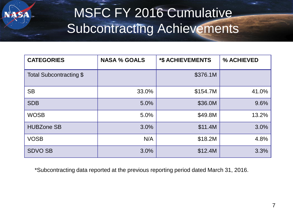

# MSFC FY 2016 Cumulative Subcontracting Achievements

| <b>CATEGORIES</b>       | <b>NASA % GOALS</b> | <b>*\$ ACHIEVEMENTS</b> | % ACHIEVED |
|-------------------------|---------------------|-------------------------|------------|
| Total Subcontracting \$ |                     | \$376.1M                |            |
| <b>SB</b>               | 33.0%               | \$154.7M                | 41.0%      |
| <b>SDB</b>              | 5.0%                | \$36.0M                 | 9.6%       |
| <b>WOSB</b>             | 5.0%                | \$49.8M                 | 13.2%      |
| <b>HUBZone SB</b>       | 3.0%                | \$11.4M                 | 3.0%       |
| <b>VOSB</b>             | N/A                 | \$18.2M                 | 4.8%       |
| <b>SDVO SB</b>          | 3.0%                | \$12.4M                 | 3.3%       |

\*Subcontracting data reported at the previous reporting period dated March 31, 2016.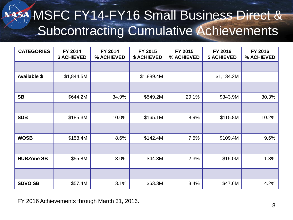# NASA MSFC FY14-FY16 Small Business Direct & Subcontracting Cumulative Achievements

| <b>CATEGORIES</b>   | FY 2014<br><b>\$ ACHIEVED</b> | FY 2014<br>% ACHIEVED | FY 2015<br>\$ ACHIEVED | FY 2015<br>% ACHIEVED | FY 2016<br><b>\$ ACHIEVED</b> | FY 2016<br>% ACHIEVED |
|---------------------|-------------------------------|-----------------------|------------------------|-----------------------|-------------------------------|-----------------------|
|                     |                               |                       |                        |                       |                               |                       |
| <b>Available \$</b> | \$1,844.5M                    |                       | \$1,889.4M             |                       | \$1,134.2M                    |                       |
|                     |                               |                       |                        |                       |                               |                       |
| <b>SB</b>           | \$644.2M                      | 34.9%                 | \$549.2M               | 29.1%                 | \$343.9M                      | 30.3%                 |
|                     |                               |                       |                        |                       |                               |                       |
| <b>SDB</b>          | \$185.3M                      | 10.0%                 | \$165.1M               | 8.9%                  | \$115.8M                      | 10.2%                 |
|                     |                               |                       |                        |                       |                               |                       |
| <b>WOSB</b>         | \$158.4M                      | 8.6%                  | \$142.4M               | 7.5%                  | \$109.4M                      | 9.6%                  |
|                     |                               |                       |                        |                       |                               |                       |
| <b>HUBZone SB</b>   | \$55.8M                       | 3.0%                  | \$44.3M                | 2.3%                  | \$15.0M                       | 1.3%                  |
|                     |                               |                       |                        |                       |                               |                       |
| <b>SDVO SB</b>      | \$57.4M                       | 3.1%                  | \$63.3M                | 3.4%                  | \$47.6M                       | 4.2%                  |

FY 2016 Achievements through March 31, 2016.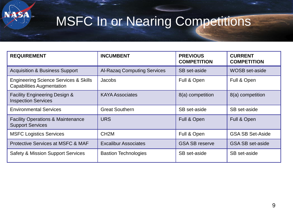

ST

| <b>REQUIREMENT</b>                                                                   | <b>INCUMBENT</b>                   | <b>PREVIOUS</b><br><b>COMPETITION</b> | <b>CURRENT</b><br><b>COMPETITION</b> |
|--------------------------------------------------------------------------------------|------------------------------------|---------------------------------------|--------------------------------------|
| <b>Acquisition &amp; Business Support</b>                                            | <b>Al-Razaq Computing Services</b> | SB set-aside                          | <b>WOSB</b> set-aside                |
| <b>Engineering Science Services &amp; Skills</b><br><b>Capabilities Augmentation</b> | Jacobs                             | Full & Open                           | Full & Open                          |
| <b>Facility Engineering Design &amp;</b><br><b>Inspection Services</b>               | <b>KAYA Associates</b>             | 8(a) competition                      | 8(a) competition                     |
| <b>Environmental Services</b>                                                        | <b>Great Southern</b>              | SB set-aside                          | SB set-aside                         |
| <b>Facility Operations &amp; Maintenance</b><br><b>Support Services</b>              | <b>URS</b>                         | Full & Open                           | Full & Open                          |
| <b>MSFC Logistics Services</b>                                                       | CH <sub>2</sub> M                  | Full & Open                           | <b>GSA SB Set-Aside</b>              |
| Protective Services at MSFC & MAF                                                    | <b>Excalibur Associates</b>        | <b>GSA SB reserve</b>                 | <b>GSA SB set-aside</b>              |
| <b>Safety &amp; Mission Support Services</b>                                         | <b>Bastion Technologies</b>        | SB set-aside                          | SB set-aside                         |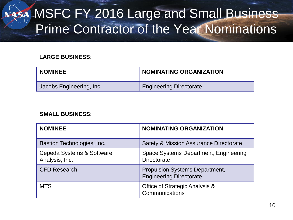### NASA MSFC FY 2016 Large and Small Business Prime Contractor of the Year Nominations

#### **LARGE BUSINESS**:

| <b>NOMINEE</b>           | <b>NOMINATING ORGANIZATION</b> |
|--------------------------|--------------------------------|
| Jacobs Engineering, Inc. | <b>Engineering Directorate</b> |

#### **SMALL BUSINESS**:

| <b>NOMINEE</b>                              | <b>NOMINATING ORGANIZATION</b>                                          |
|---------------------------------------------|-------------------------------------------------------------------------|
| Bastion Technologies, Inc.                  | <b>Safety &amp; Mission Assurance Directorate</b>                       |
| Cepeda Systems & Software<br>Analysis, Inc. | Space Systems Department, Engineering<br><b>Directorate</b>             |
| <b>CFD Research</b>                         | <b>Propulsion Systems Department,</b><br><b>Engineering Directorate</b> |
| <b>MTS</b>                                  | Office of Strategic Analysis &<br>Communications                        |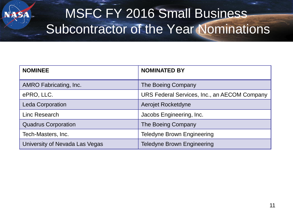#### MSFC FY 2016 Small Business Subcontractor of the Year Nominations

| <b>NOMINEE</b>                 | <b>NOMINATED BY</b>                          |  |
|--------------------------------|----------------------------------------------|--|
| AMRO Fabricating, Inc.         | The Boeing Company                           |  |
| ePRO, LLC.                     | URS Federal Services, Inc., an AECOM Company |  |
| <b>Leda Corporation</b>        | Aerojet Rocketdyne                           |  |
| Linc Research                  | Jacobs Engineering, Inc.                     |  |
| <b>Quadrus Corporation</b>     | The Boeing Company                           |  |
| Tech-Masters, Inc.             | <b>Teledyne Brown Engineering</b>            |  |
| University of Nevada Las Vegas | <b>Teledyne Brown Engineering</b>            |  |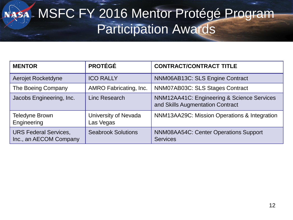# NASA MSFC FY 2016 Mentor Protégé Program Participation Awards

| <b>MENTOR</b>                                          | <b>PROTÉGÉ</b>                    | <b>CONTRACT/CONTRACT TITLE</b>                                                 |
|--------------------------------------------------------|-----------------------------------|--------------------------------------------------------------------------------|
| Aerojet Rocketdyne                                     | <b>ICO RALLY</b>                  | NNM06AB13C: SLS Engine Contract                                                |
| The Boeing Company                                     | AMRO Fabricating, Inc.            | NNM07AB03C: SLS Stages Contract                                                |
| Jacobs Engineering, Inc.                               | Linc Research                     | NNM12AA41C: Engineering & Science Services<br>and Skills Augmentation Contract |
| <b>Teledyne Brown</b><br>Engineering                   | University of Nevada<br>Las Vegas | NNM13AA29C: Mission Operations & Integration                                   |
| <b>URS Federal Services,</b><br>Inc., an AECOM Company | <b>Seabrook Solutions</b>         | <b>NNM08AA54C: Center Operations Support</b><br><b>Services</b>                |